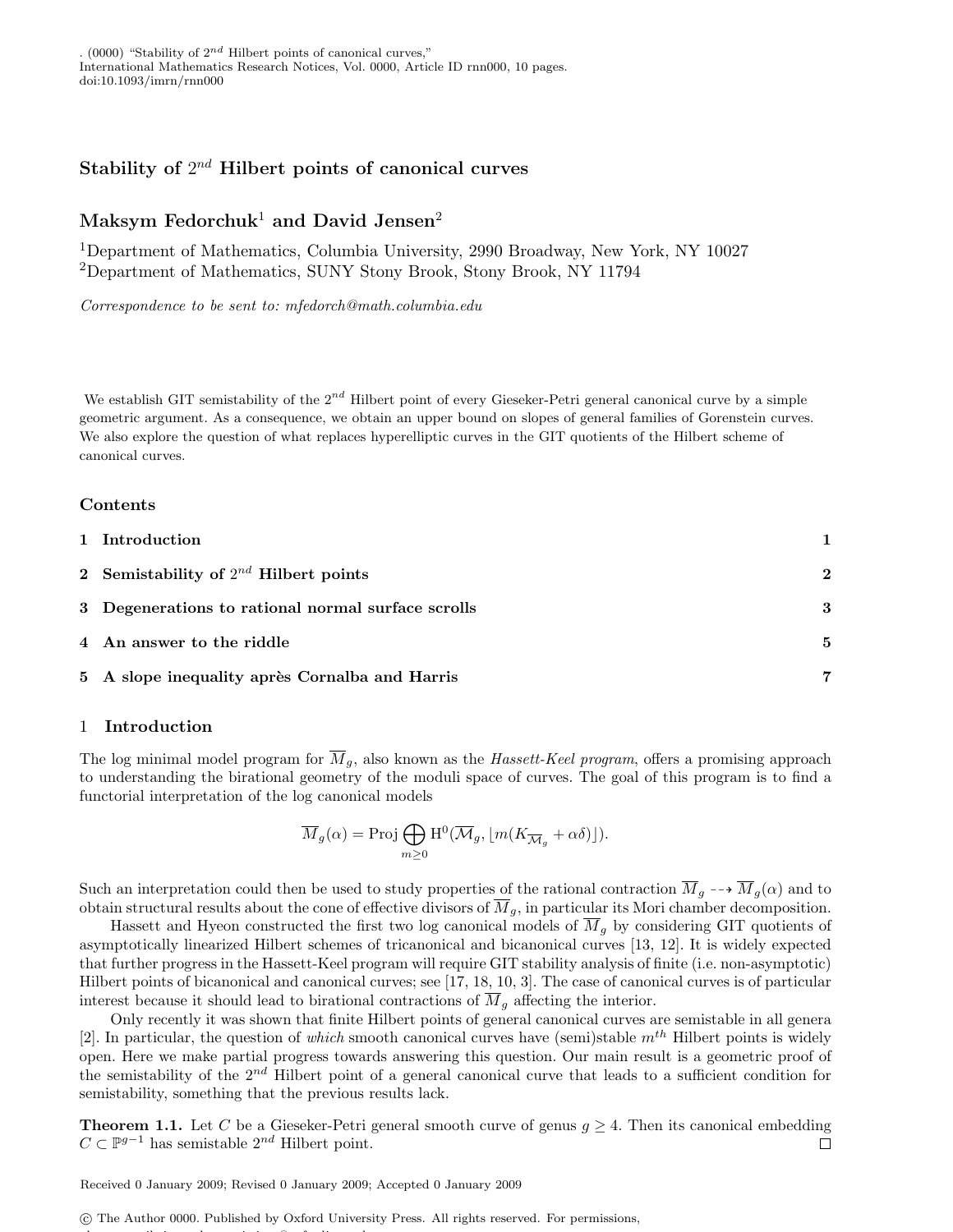. (0000) "Stability of  $2^{nd}$  Hilbert points of canonical curves," International Mathematics Research Notices, Vol. 0000, Article ID rnn000, 10 pages. doi:10.1093/imrn/rnn000

## Stability of  $2^{nd}$  Hilbert points of canonical curves

# Maksym Fedorchuk<sup>1</sup> and David Jensen<sup>2</sup>

<sup>1</sup>Department of Mathematics, Columbia University, 2990 Broadway, New York, NY 10027 <sup>2</sup>Department of Mathematics, SUNY Stony Brook, Stony Brook, NY 11794

Correspondence to be sent to: mfedorch@math.columbia.edu

We establish GIT semistability of the  $2^{nd}$  Hilbert point of every Gieseker-Petri general canonical curve by a simple geometric argument. As a consequence, we obtain an upper bound on slopes of general families of Gorenstein curves. We also explore the question of what replaces hyperelliptic curves in the GIT quotients of the Hilbert scheme of canonical curves.

### Contents

| 1 Introduction                                     |                         |
|----------------------------------------------------|-------------------------|
| 2 Semistability of $2^{nd}$ Hilbert points         | $\overline{\mathbf{2}}$ |
| 3 Degenerations to rational normal surface scrolls | 3                       |
| 4 An answer to the riddle                          | .5                      |
| 5 A slope inequality après Cornalba and Harris     | 7                       |

### 1 Introduction

The log minimal model program for  $\overline{M}_g$ , also known as the *Hassett-Keel program*, offers a promising approach to understanding the birational geometry of the moduli space of curves. The goal of this program is to find a functorial interpretation of the log canonical models

$$
\overline{M}_g(\alpha) = \text{Proj } \bigoplus_{m \geq 0} \mathrm{H}^0(\overline{\mathcal{M}}_g, \lfloor m(K_{\overline{\mathcal{M}}_g} + \alpha \delta) \rfloor).
$$

Such an interpretation could then be used to study properties of the rational contraction  $\overline{M}_q \dashrightarrow \overline{M}_q(\alpha)$  and to obtain structural results about the cone of effective divisors of  $\overline{M}_q$ , in particular its Mori chamber decomposition.

Hassett and Hyeon constructed the first two log canonical models of  $\overline{M}_q$  by considering GIT quotients of asymptotically linearized Hilbert schemes of tricanonical and bicanonical curves [13, 12]. It is widely expected that further progress in the Hassett-Keel program will require GIT stability analysis of finite (i.e. non-asymptotic) Hilbert points of bicanonical and canonical curves; see [17, 18, 10, 3]. The case of canonical curves is of particular interest because it should lead to birational contractions of  $\overline{M}_g$  affecting the interior.

Only recently it was shown that finite Hilbert points of general canonical curves are semistable in all genera [2]. In particular, the question of which smooth canonical curves have (semi)stable  $m^{th}$  Hilbert points is widely open. Here we make partial progress towards answering this question. Our main result is a geometric proof of the semistability of the 2<sup>nd</sup> Hilbert point of a general canonical curve that leads to a sufficient condition for semistability, something that the previous results lack.

**Theorem 1.1.** Let C be a Gieseker-Petri general smooth curve of genus  $g \geq 4$ . Then its canonical embedding  $C \subset \mathbb{P}^{g-1}$  has semistable  $2^{nd}$  Hilbert point.  $\Box$ 

Received 0 January 2009; Revised 0 January 2009; Accepted 0 January 2009

please e-mail: journals.permissions@oxfordjournals.org.

c The Author 0000. Published by Oxford University Press. All rights reserved. For permissions,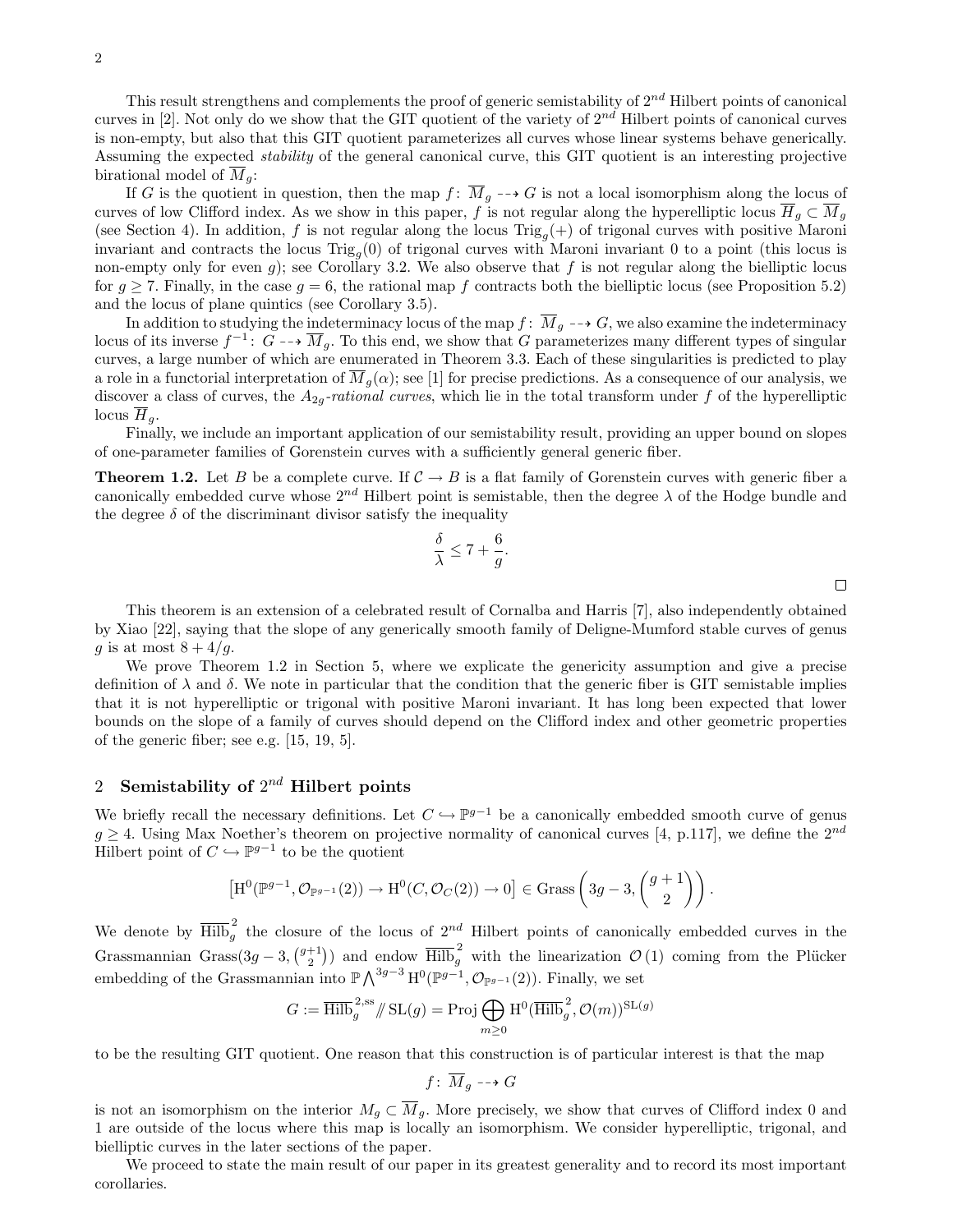If G is the quotient in question, then the map  $f: \overline{M}_q \dashrightarrow G$  is not a local isomorphism along the locus of curves of low Clifford index. As we show in this paper, f is not regular along the hyperelliptic locus  $\overline{H}_q \subset \overline{M}_q$ (see Section 4). In addition, f is not regular along the locus  $\text{Trig}_g(+)$  of trigonal curves with positive Maroni invariant and contracts the locus  $\text{Trig}_{g}(0)$  of trigonal curves with Maroni invariant 0 to a point (this locus is non-empty only for even g); see Corollary 3.2. We also observe that f is not regular along the bielliptic locus for  $g \geq 7$ . Finally, in the case  $g = 6$ , the rational map f contracts both the bielliptic locus (see Proposition 5.2) and the locus of plane quintics (see Corollary 3.5).

In addition to studying the indeterminacy locus of the map  $f: \overline{M}_g \dashrightarrow G$ , we also examine the indeterminacy locus of its inverse  $f^{-1}$ :  $\tilde{G} \dashrightarrow \overline{M}_g$ . To this end, we show that G parameterizes many different types of singular curves, a large number of which are enumerated in Theorem 3.3. Each of these singularities is predicted to play a role in a functorial interpretation of  $\overline{M}_q(\alpha)$ ; see [1] for precise predictions. As a consequence of our analysis, we discover a class of curves, the  $A_{2q}$ -rational curves, which lie in the total transform under f of the hyperelliptic locus  $H_q$ .

Finally, we include an important application of our semistability result, providing an upper bound on slopes of one-parameter families of Gorenstein curves with a sufficiently general generic fiber.

**Theorem 1.2.** Let B be a complete curve. If  $C \rightarrow B$  is a flat family of Gorenstein curves with generic fiber a canonically embedded curve whose  $2^{nd}$  Hilbert point is semistable, then the degree  $\lambda$  of the Hodge bundle and the degree  $\delta$  of the discriminant divisor satisfy the inequality

> $\delta$ λ

$$
\leq 7 + \frac{6}{g}.
$$

This theorem is an extension of a celebrated result of Cornalba and Harris [7], also independently obtained by Xiao [22], saying that the slope of any generically smooth family of Deligne-Mumford stable curves of genus g is at most  $8 + 4/g$ .

We prove Theorem 1.2 in Section 5, where we explicate the genericity assumption and give a precise definition of  $\lambda$  and  $\delta$ . We note in particular that the condition that the generic fiber is GIT semistable implies that it is not hyperelliptic or trigonal with positive Maroni invariant. It has long been expected that lower bounds on the slope of a family of curves should depend on the Clifford index and other geometric properties of the generic fiber; see e.g. [15, 19, 5].

## 2 Semistability of  $2^{nd}$  Hilbert points

We briefly recall the necessary definitions. Let  $C \hookrightarrow \mathbb{P}^{g-1}$  be a canonically embedded smooth curve of genus  $g \geq 4$ . Using Max Noether's theorem on projective normality of canonical curves [4, p.117], we define the  $2^{nd}$ Hilbert point of  $C \hookrightarrow \mathbb{P}^{g-1}$  to be the quotient

$$
\left[\mathrm{H}^0(\mathbb{P}^{g-1},\mathcal{O}_{\mathbb{P}^{g-1}}(2))\to \mathrm{H}^0(C,\mathcal{O}_C(2))\to 0\right] \in \mathrm{Grass}\left(3g-3,\binom{g+1}{2}\right).
$$

We denote by  $\overline{\text{Hilb}}_g^2$  the closure of the locus of  $2^{nd}$  Hilbert points of canonically embedded curves in the Grassmannian Grass $(3g-3, {g+1 \choose 2})$  and endow  $\overline{\text{Hilb}}_g^2$  with the linearization  $\mathcal{O}(1)$  coming from the Plücker embedding of the Grassmannian into  $\mathbb{P}\bigwedge^{3g-3}\mathrm{H}^0(\mathbb{P}^{g-1}, \mathcal{O}_{\mathbb{P}^{g-1}}(2))$ . Finally, we set

$$
G:=\overline{\mathrm{Hilb}}_g^{2,\mathrm{ss}}/\hspace{-3pt}/\mathrm{SL}(g)=\mathrm{Proj} \bigoplus_{m\geq 0} \mathrm{H}^0(\overline{\mathrm{Hilb}}_g^{2},\mathcal{O}(m))^{\mathrm{SL}(g)}
$$

to be the resulting GIT quotient. One reason that this construction is of particular interest is that the map

$$
f\colon\thinspace \overline{M}_g\dashrightarrow G
$$

is not an isomorphism on the interior  $M_g \subset \overline{M}_g$ . More precisely, we show that curves of Clifford index 0 and 1 are outside of the locus where this map is locally an isomorphism. We consider hyperelliptic, trigonal, and bielliptic curves in the later sections of the paper.

We proceed to state the main result of our paper in its greatest generality and to record its most important corollaries.

 $\Box$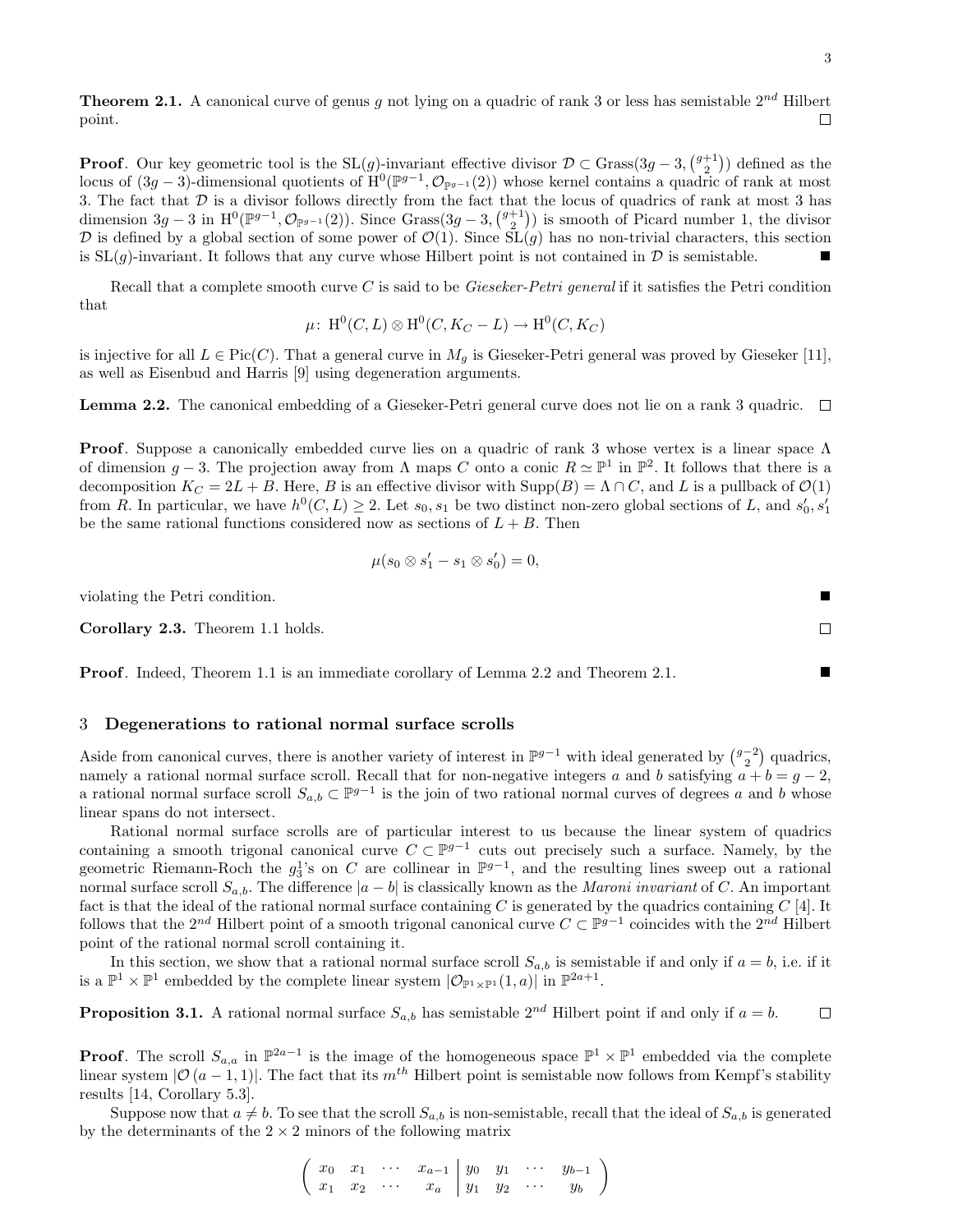**Theorem 2.1.** A canonical curve of genus g not lying on a quadric of rank 3 or less has semistable  $2^{nd}$  Hilbert point.

**Proof.** Our key geometric tool is the  $SL(g)$ -invariant effective divisor  $\mathcal{D} \subset$  Grass $(3g-3, \binom{g+1}{2})$  defined as the locus of  $(3g-3)$ -dimensional quotients of  $\mathrm{H}^{0}(\mathbb{P}^{g-1}, \mathcal{O}_{\mathbb{P}^{g-1}}(2))$  whose kernel contains a quadric of rank at most 3. The fact that D is a divisor follows directly from the fact that the locus of quadrics of rank at most 3 has dimension  $3g-3$  in  $\mathrm{H}^{0}(\mathbb{P}^{g-1}, \mathcal{O}_{\mathbb{P}^{g-1}}(2))$ . Since  $\mathrm{Grass}(3g-3, \binom{g+1}{2})$  is smooth of Picard number 1, the divisor D is defined by a global section of some power of  $\mathcal{O}(1)$ . Since  $SL(g)$  has no non-trivial characters, this section is  $SL(g)$ -invariant. It follows that any curve whose Hilbert point is not contained in  $D$  is semistable.

Recall that a complete smooth curve C is said to be Gieseker-Petri general if it satisfies the Petri condition that

$$
\mu\colon H^0(C, L)\otimes H^0(C, K_C-L)\to H^0(C, K_C)
$$

is injective for all  $L \in Pic(C)$ . That a general curve in  $M<sub>g</sub>$  is Gieseker-Petri general was proved by Gieseker [11], as well as Eisenbud and Harris [9] using degeneration arguments.

**Lemma 2.2.** The canonical embedding of a Gieseker-Petri general curve does not lie on a rank 3 quadric.  $\Box$ 

**Proof.** Suppose a canonically embedded curve lies on a quadric of rank 3 whose vertex is a linear space  $\Lambda$ of dimension  $g-3$ . The projection away from  $\Lambda$  maps C onto a conic  $R \simeq \mathbb{P}^1$  in  $\mathbb{P}^2$ . It follows that there is a decomposition  $K_C = 2L + B$ . Here, B is an effective divisor with  $\text{Supp}(B) = \Lambda \cap C$ , and L is a pullback of  $\mathcal{O}(1)$ from R. In particular, we have  $h^0(C, L) \geq 2$ . Let  $s_0, s_1$  be two distinct non-zero global sections of L, and  $s'_0, s'_1$ be the same rational functions considered now as sections of  $L + B$ . Then

$$
\mu(s_0 \otimes s_1' - s_1 \otimes s_0') = 0,
$$

violating the Petri condition.

Corollary 2.3. Theorem 1.1 holds.

Proof. Indeed, Theorem 1.1 is an immediate corollary of Lemma 2.2 and Theorem 2.1.

### 3 Degenerations to rational normal surface scrolls

Aside from canonical curves, there is another variety of interest in  $\mathbb{P}^{g-1}$  with ideal generated by  $\binom{g-2}{2}$  quadrics, namely a rational normal surface scroll. Recall that for non-negative integers a and b satisfying  $a + b = g - 2$ , a rational normal surface scroll  $S_{a,b} \subset \mathbb{P}^{g-1}$  is the join of two rational normal curves of degrees a and b whose linear spans do not intersect.

Rational normal surface scrolls are of particular interest to us because the linear system of quadrics containing a smooth trigonal canonical curve  $C \subset \mathbb{P}^{g-1}$  cuts out precisely such a surface. Namely, by the geometric Riemann-Roch the  $g_3^1$ 's on C are collinear in  $\mathbb{P}^{g-1}$ , and the resulting lines sweep out a rational normal surface scroll  $S_{a,b}$ . The difference  $|a - b|$  is classically known as the *Maroni invariant* of C. An important fact is that the ideal of the rational normal surface containing C is generated by the quadrics containing  $C$  [4]. It follows that the 2<sup>nd</sup> Hilbert point of a smooth trigonal canonical curve  $C \subset \mathbb{P}^{g-1}$  coincides with the 2<sup>nd</sup> Hilbert point of the rational normal scroll containing it.

In this section, we show that a rational normal surface scroll  $S_{a,b}$  is semistable if and only if  $a = b$ , i.e. if it is a  $\mathbb{P}^1 \times \mathbb{P}^1$  embedded by the complete linear system  $|\mathcal{O}_{\mathbb{P}^1 \times \mathbb{P}^1}(1,a)|$  in  $\mathbb{P}^{2a+1}$ .

**Proposition 3.1.** A rational normal surface  $S_{a,b}$  has semistable  $2^{nd}$  Hilbert point if and only if  $a = b$ .  $\Box$ 

**Proof.** The scroll  $S_{a,a}$  in  $\mathbb{P}^{2a-1}$  is the image of the homogeneous space  $\mathbb{P}^1 \times \mathbb{P}^1$  embedded via the complete linear system  $|O(a-1,1)|$ . The fact that its  $m^{th}$  Hilbert point is semistable now follows from Kempf's stability results [14, Corollary 5.3].

Suppose now that  $a \neq b$ . To see that the scroll  $S_{a,b}$  is non-semistable, recall that the ideal of  $S_{a,b}$  is generated by the determinants of the  $2 \times 2$  minors of the following matrix

> $\begin{pmatrix} x_0 & x_1 & \cdots & x_{a-1} & y_0 & y_1 & \cdots & y_{b-1} \end{pmatrix}$  $x_1$   $x_2$   $\cdots$   $x_a$   $y_1$   $y_2$   $\cdots$   $y_b$  $\setminus$

 $\Box$ 

г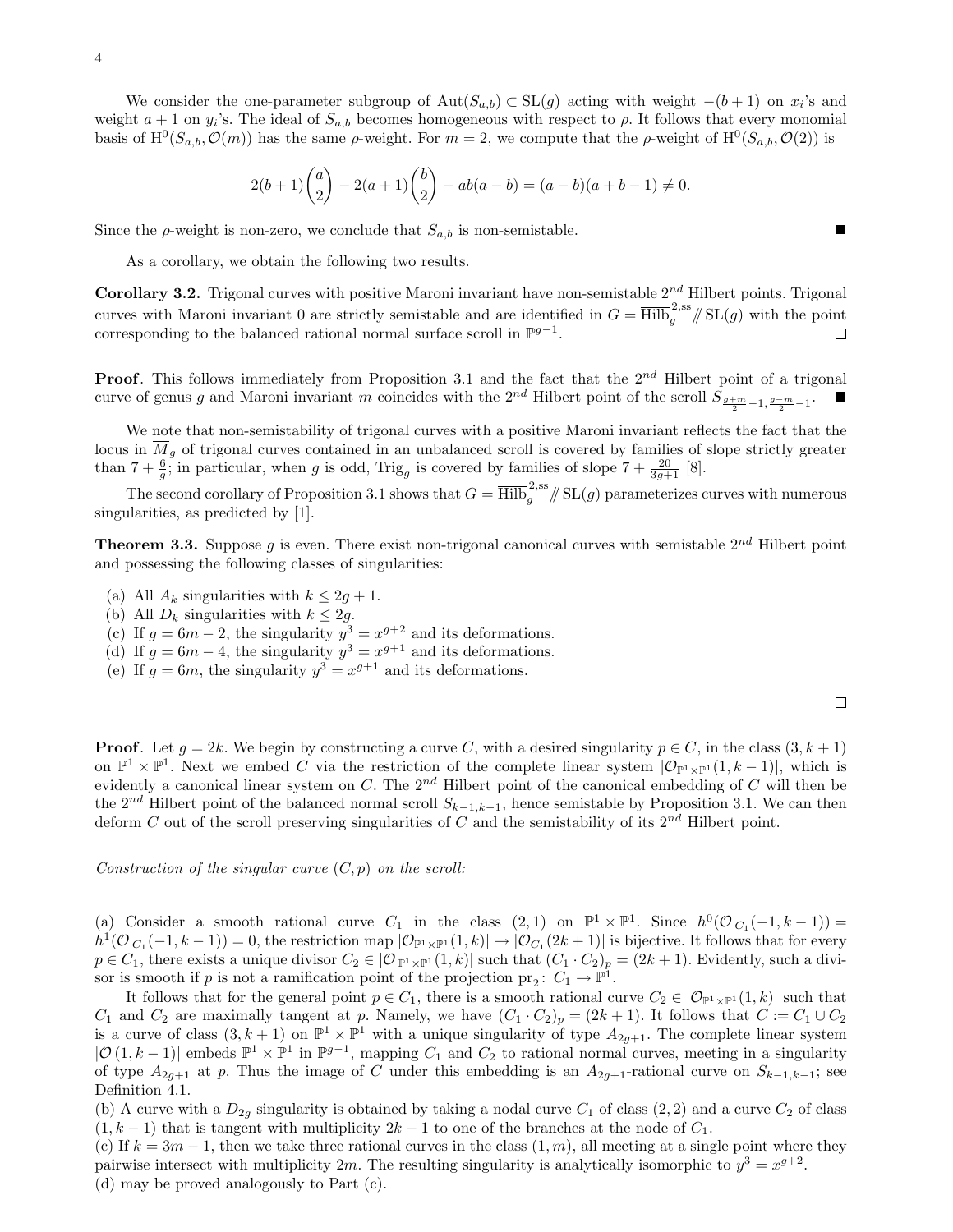We consider the one-parameter subgroup of  $Aut(S_{a,b}) \subset SL(g)$  acting with weight  $-(b+1)$  on  $x_i$ 's and weight  $a+1$  on  $y_i$ 's. The ideal of  $S_{a,b}$  becomes homogeneous with respect to  $\rho$ . It follows that every monomial basis of  $\mathrm{H}^{0}(S_{a,b},\mathcal{O}(m))$  has the same  $\rho$ -weight. For  $m=2$ , we compute that the  $\rho$ -weight of  $\mathrm{H}^{0}(S_{a,b},\mathcal{O}(2))$  is

$$
2(b+1)\binom{a}{2} - 2(a+1)\binom{b}{2} - ab(a-b) = (a-b)(a+b-1) \neq 0.
$$

Since the  $\rho$ -weight is non-zero, we conclude that  $S_{a,b}$  is non-semistable.

As a corollary, we obtain the following two results.

**Corollary 3.2.** Trigonal curves with positive Maroni invariant have non-semistable  $2^{nd}$  Hilbert points. Trigonal curves with Maroni invariant 0 are strictly semistable and are identified in  $G = \overline{\text{Hilb}}_g^{2,ss} / \text{SL}(g)$  with the point corresponding to the balanced rational normal surface scroll in  $\mathbb{P}^{g-1}$ .  $\Box$ 

**Proof.** This follows immediately from Proposition 3.1 and the fact that the  $2^{nd}$  Hilbert point of a trigonal curve of genus g and Maroni invariant m coincides with the  $2^{nd}$  Hilbert point of the scroll  $S_{\frac{g+m}{2}-1,\frac{g-m}{2}-1}$ .

We note that non-semistability of trigonal curves with a positive Maroni invariant reflects the fact that the locus in  $\overline{M}_q$  of trigonal curves contained in an unbalanced scroll is covered by families of slope strictly greater than  $7 + \frac{6}{9}$ ; in particular, when g is odd, Trig<sub>g</sub> is covered by families of slope  $7 + \frac{20}{3g+1}$  [8].

The second corollary of Proposition 3.1 shows that  $G = \overline{\rm Hilb}_g^{2,ss} / \!\!/\, SL(g)$  parameterizes curves with numerous singularities, as predicted by [1].

**Theorem 3.3.** Suppose g is even. There exist non-trigonal canonical curves with semistable  $2^{nd}$  Hilbert point and possessing the following classes of singularities:

- (a) All  $A_k$  singularities with  $k \leq 2g + 1$ .
- (b) All  $D_k$  singularities with  $k \leq 2g$ .
- (c) If  $g = 6m 2$ , the singularity  $y^3 = x^{g+2}$  and its deformations.
- (d) If  $g = 6m 4$ , the singularity  $y^3 = x^{g+1}$  and its deformations.
- (e) If  $g = 6m$ , the singularity  $y^3 = x^{g+1}$  and its deformations.

**Proof.** Let  $g = 2k$ . We begin by constructing a curve C, with a desired singularity  $p \in C$ , in the class  $(3, k + 1)$ on  $\mathbb{P}^1 \times \mathbb{P}^1$ . Next we embed C via the restriction of the complete linear system  $|\mathcal{O}_{\mathbb{P}^1 \times \mathbb{P}^1}(1,k-1)|$ , which is evidently a canonical linear system on C. The  $2^{nd}$  Hilbert point of the canonical embedding of C will then be the 2<sup>nd</sup> Hilbert point of the balanced normal scroll  $S_{k-1,k-1}$ , hence semistable by Proposition 3.1. We can then deform C out of the scroll preserving singularities of C and the semistability of its  $2^{nd}$  Hilbert point.

Construction of the singular curve  $(C, p)$  on the scroll:

(a) Consider a smooth rational curve  $C_1$  in the class  $(2,1)$  on  $\mathbb{P}^1 \times \mathbb{P}^1$ . Since  $h^0(\mathcal{O}_{C_1}(-1,k-1)) =$  $h^1(\mathcal{O}_{C_1}(-1, k-1)) = 0$ , the restriction map  $|\mathcal{O}_{\mathbb{P}^1 \times \mathbb{P}^1}(1, k)| \to |\mathcal{O}_{C_1}(2k+1)|$  is bijective. It follows that for every  $p \in C_1$ , there exists a unique divisor  $C_2 \in |O_{\mathbb{P}^1 \times \mathbb{P}^1}(1,k)|$  such that  $(C_1 \cdot C_2)_p = (2k+1)$ . Evidently, such a divisor is smooth if p is not a ramification point of the projection  $\text{pr}_2$ :  $C_1 \rightarrow \mathbb{P}^1$ .

It follows that for the general point  $p \in C_1$ , there is a smooth rational curve  $C_2 \in |\mathcal{O}_{\mathbb{P}^1 \times \mathbb{P}^1}(1,k)|$  such that  $C_1$  and  $C_2$  are maximally tangent at p. Namely, we have  $(C_1 \cdot C_2)_p = (2k+1)$ . It follows that  $C := C_1 \cup C_2$ is a curve of class  $(3, k+1)$  on  $\mathbb{P}^1 \times \mathbb{P}^1$  with a unique singularity of type  $A_{2g+1}$ . The complete linear system  $|\mathcal{O}(1, k-1)|$  embeds  $\mathbb{P}^1 \times \mathbb{P}^1$  in  $\mathbb{P}^{g-1}$ , mapping  $C_1$  and  $C_2$  to rational normal curves, meeting in a singularity of type  $A_{2q+1}$  at p. Thus the image of C under this embedding is an  $A_{2q+1}$ -rational curve on  $S_{k-1,k-1}$ ; see Definition 4.1.

(b) A curve with a  $D_{2q}$  singularity is obtained by taking a nodal curve  $C_1$  of class  $(2, 2)$  and a curve  $C_2$  of class  $(1, k - 1)$  that is tangent with multiplicity  $2k - 1$  to one of the branches at the node of  $C_1$ .

(c) If  $k = 3m - 1$ , then we take three rational curves in the class  $(1, m)$ , all meeting at a single point where they pairwise intersect with multiplicity 2m. The resulting singularity is analytically isomorphic to  $y^3 = x^{g+2}$ . (d) may be proved analogously to Part (c).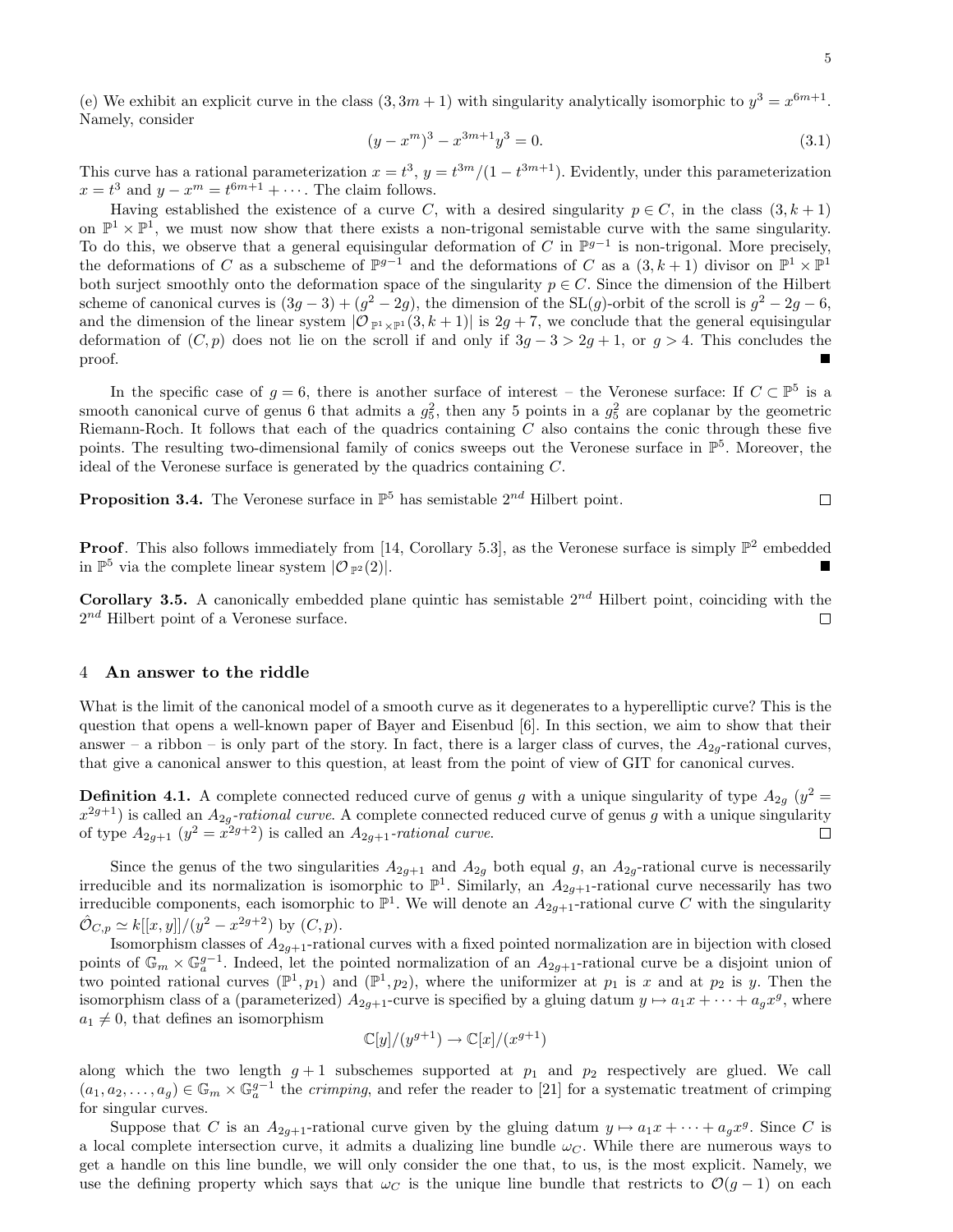(e) We exhibit an explicit curve in the class  $(3, 3m + 1)$  with singularity analytically isomorphic to  $y^3 = x^{6m+1}$ . Namely, consider

$$
(y - xm)3 - x3m+1y3 = 0.
$$
 (3.1)

This curve has a rational parameterization  $x = t^3$ ,  $y = t^{3m}/(1-t^{3m+1})$ . Evidently, under this parameterization  $x = t^3$  and  $y - x^m = t^{6m+1} + \cdots$ . The claim follows.

Having established the existence of a curve C, with a desired singularity  $p \in C$ , in the class  $(3, k + 1)$ on  $\mathbb{P}^1 \times \mathbb{P}^1$ , we must now show that there exists a non-trigonal semistable curve with the same singularity. To do this, we observe that a general equisingular deformation of C in  $\mathbb{P}^{g-1}$  is non-trigonal. More precisely, the deformations of C as a subscheme of  $\mathbb{P}^{g-1}$  and the deformations of C as a  $(3, k+1)$  divisor on  $\mathbb{P}^1 \times \mathbb{P}^1$ both surject smoothly onto the deformation space of the singularity  $p \in C$ . Since the dimension of the Hilbert scheme of canonical curves is  $(3g-3)+(g^2-2g)$ , the dimension of the SL $(g)$ -orbit of the scroll is  $g^2-2g-6$ , and the dimension of the linear system  $|{\cal O}_{\mathbb{P}^1\times\mathbb{P}^1}(3,k+1)|$  is  $2g+7$ , we conclude that the general equisingular deformation of  $(C, p)$  does not lie on the scroll if and only if  $3g - 3 > 2g + 1$ , or  $g > 4$ . This concludes the proof.

In the specific case of  $g = 6$ , there is another surface of interest – the Veronese surface: If  $C \subset \mathbb{P}^5$  is a smooth canonical curve of genus 6 that admits a  $g_5^2$ , then any 5 points in a  $g_5^2$  are coplanar by the geometric Riemann-Roch. It follows that each of the quadrics containing  $C$  also contains the conic through these five points. The resulting two-dimensional family of conics sweeps out the Veronese surface in  $\mathbb{P}^5$ . Moreover, the ideal of the Veronese surface is generated by the quadrics containing C.

**Proposition 3.4.** The Veronese surface in  $\mathbb{P}^5$  has semistable  $2^{nd}$  Hilbert point.

**Proof.** This also follows immediately from [14, Corollary 5.3], as the Veronese surface is simply  $\mathbb{P}^2$  embedded in  $\mathbb{P}^5$  via the complete linear system  $\overline{O_{\mathbb{P}^2}(2)}$ .

**Corollary 3.5.** A canonically embedded plane quintic has semistable  $2^{nd}$  Hilbert point, coinciding with the  $2^{nd}$  Hilbert point of a Veronese surface. П

#### 4 An answer to the riddle

What is the limit of the canonical model of a smooth curve as it degenerates to a hyperelliptic curve? This is the question that opens a well-known paper of Bayer and Eisenbud [6]. In this section, we aim to show that their answer – a ribbon – is only part of the story. In fact, there is a larger class of curves, the  $A_{2q}$ -rational curves, that give a canonical answer to this question, at least from the point of view of GIT for canonical curves.

**Definition 4.1.** A complete connected reduced curve of genus g with a unique singularity of type  $A_{2g}$  ( $y^2 =$  $x^{2g+1}$ ) is called an  $A_{2g}$ -rational curve. A complete connected reduced curve of genus g with a unique singularity of type  $A_{2g+1}$   $(y^2 = x^{2g+2})$  is called an  $A_{2g+1}$ -rational curve. □

Since the genus of the two singularities  $A_{2g+1}$  and  $A_{2g}$  both equal g, an  $A_{2g}$ -rational curve is necessarily irreducible and its normalization is isomorphic to  $\mathbb{P}^1$ . Similarly, an  $A_{2g+1}$ -rational curve necessarily has two irreducible components, each isomorphic to  $\mathbb{P}^1$ . We will denote an  $A_{2g+1}$ -rational curve C with the singularity  $\hat{\mathcal{O}}_{C,p} \simeq k[[x,y]]/(y^2 - x^{2g+2})$  by  $(C, p)$ .

Isomorphism classes of  $A_{2g+1}$ -rational curves with a fixed pointed normalization are in bijection with closed points of  $\mathbb{G}_m \times \mathbb{G}_a^{g-1}$ . Indeed, let the pointed normalization of an  $A_{2g+1}$ -rational curve be a disjoint union of two pointed rational curves  $(\mathbb{P}^1, p_1)$  and  $(\mathbb{P}^1, p_2)$ , where the uniformizer at  $p_1$  is x and at  $p_2$  is y. Then the isomorphism class of a (parameterized)  $A_{2g+1}$ -curve is specified by a gluing datum  $y \mapsto a_1x + \cdots + a_gx^g$ , where  $a_1 \neq 0$ , that defines an isomorphism

$$
\mathbb{C}[y]/(y^{g+1}) \to \mathbb{C}[x]/(x^{g+1})
$$

along which the two length  $g + 1$  subschemes supported at  $p_1$  and  $p_2$  respectively are glued. We call  $(a_1, a_2, \ldots, a_g) \in \mathbb{G}_m \times \mathbb{G}_a^{g-1}$  the *crimping*, and refer the reader to [21] for a systematic treatment of crimping for singular curves.

Suppose that C is an  $A_{2g+1}$ -rational curve given by the gluing datum  $y \mapsto a_1x + \cdots + a_gx^g$ . Since C is a local complete intersection curve, it admits a dualizing line bundle  $\omega_c$ . While there are numerous ways to get a handle on this line bundle, we will only consider the one that, to us, is the most explicit. Namely, we use the defining property which says that  $\omega_C$  is the unique line bundle that restricts to  $\mathcal{O}(g-1)$  on each

 $\Box$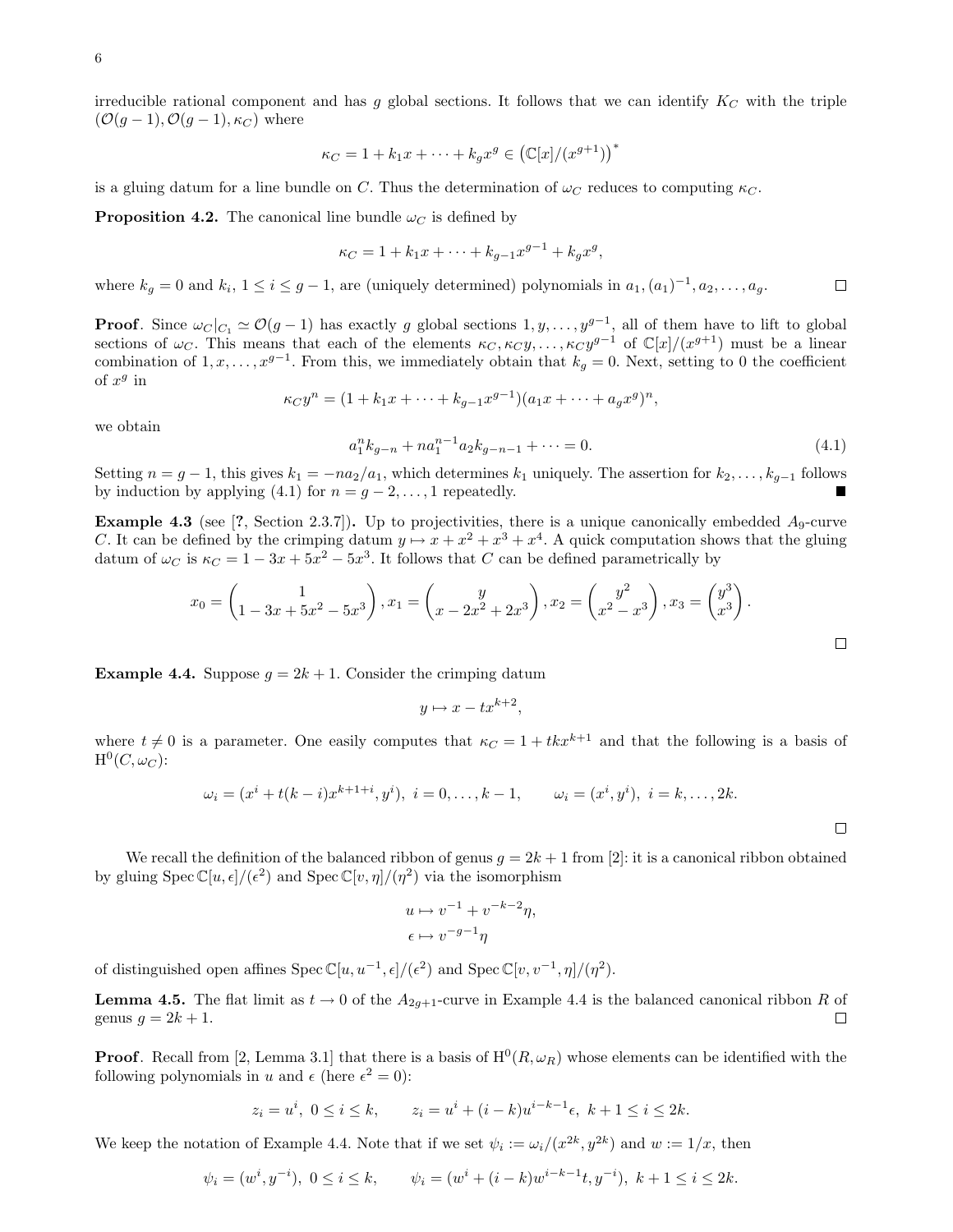irreducible rational component and has g global sections. It follows that we can identify  $K_C$  with the triple  $(\mathcal{O}(g-1), \mathcal{O}(g-1), \kappa_C)$  where

$$
\kappa_C = 1 + k_1 x + \dots + k_g x^g \in (\mathbb{C}[x]/(x^{g+1}))^*
$$

is a gluing datum for a line bundle on C. Thus the determination of  $\omega_C$  reduces to computing  $\kappa_C$ .

**Proposition 4.2.** The canonical line bundle  $\omega_C$  is defined by

$$
\kappa_C = 1 + k_1 x + \dots + k_{g-1} x^{g-1} + k_g x^g,
$$

where  $k_g = 0$  and  $k_i, 1 \le i \le g-1$ , are (uniquely determined) polynomials in  $a_1, (a_1)^{-1}, a_2, \ldots, a_g$ .  $\Box$ 

**Proof.** Since  $\omega_C|_{C_1} \simeq \mathcal{O}(g-1)$  has exactly g global sections  $1, y, \ldots, y^{g-1}$ , all of them have to lift to global sections of  $\omega_C$ . This means that each of the elements  $\kappa_C, \kappa_C y, \ldots, \kappa_C y^{g-1}$  of  $\mathbb{C}[x]/(x^{g+1})$  must be a linear combination of  $1, x, \ldots, x^{g-1}$ . From this, we immediately obtain that  $k_g = 0$ . Next, setting to 0 the coefficient of  $x^g$  in

$$
\kappa_C y^n = (1 + k_1 x + \dots + k_{g-1} x^{g-1})(a_1 x + \dots + a_g x^g)^n,
$$

we obtain

$$
a_1^n k_{g-n} + n a_1^{n-1} a_2 k_{g-n-1} + \dots = 0.
$$
\n
$$
(4.1)
$$

Setting  $n = g - 1$ , this gives  $k_1 = -n a_2/a_1$ , which determines  $k_1$  uniquely. The assertion for  $k_2, \ldots, k_{g-1}$  follows by induction by applying (4.1) for  $n = g - 2, \ldots, 1$  repeatedly.  $\blacksquare$ 

**Example 4.3** (see [?, Section 2.3.7]). Up to projectivities, there is a unique canonically embedded  $A_9$ -curve C. It can be defined by the crimping datum  $y \mapsto x + x^2 + x^3 + x^4$ . A quick computation shows that the gluing datum of  $\omega_C$  is  $\kappa_C = 1 - 3x + 5x^2 - 5x^3$ . It follows that C can be defined parametrically by

$$
x_0 = \begin{pmatrix} 1 & 1 \ 1 - 3x + 5x^2 - 5x^3 \end{pmatrix}, x_1 = \begin{pmatrix} y & 1 \ x - 2x^2 + 2x^3 \end{pmatrix}, x_2 = \begin{pmatrix} y^2 \ x^2 - x^3 \end{pmatrix}, x_3 = \begin{pmatrix} y^3 \ x^3 \end{pmatrix}.
$$

**Example 4.4.** Suppose  $g = 2k + 1$ . Consider the crimping datum

$$
y \mapsto x - tx^{k+2},
$$

where  $t \neq 0$  is a parameter. One easily computes that  $\kappa_C = 1 + tkx^{k+1}$  and that the following is a basis of  ${\rm H}^0(C, \omega_C)$ :

$$
\omega_i = (x^i + t(k-i)x^{k+1+i}, y^i), \ i = 0, \dots, k-1, \qquad \omega_i = (x^i, y^i), \ i = k, \dots, 2k.
$$

We recall the definition of the balanced ribbon of genus  $q = 2k + 1$  from [2]: it is a canonical ribbon obtained by gluing  $Spec \mathbb{C}[u,\epsilon]/(\epsilon^2)$  and  $Spec \mathbb{C}[v,\eta]/(\eta^2)$  via the isomorphism

$$
u \mapsto v^{-1} + v^{-k-2}\eta,
$$
  

$$
\epsilon \mapsto v^{-g-1}\eta
$$

of distinguished open affines  $Spec \mathbb{C}[u, u^{-1}, \epsilon]/(\epsilon^2)$  and  $Spec \mathbb{C}[v, v^{-1}, \eta]/(\eta^2)$ .

**Lemma 4.5.** The flat limit as  $t \to 0$  of the  $A_{2q+1}$ -curve in Example 4.4 is the balanced canonical ribbon R of genus  $g = 2k + 1$ .  $\Box$ 

**Proof.** Recall from [2, Lemma 3.1] that there is a basis of  $H^0(R, \omega_R)$  whose elements can be identified with the following polynomials in u and  $\epsilon$  (here  $\epsilon^2 = 0$ ):

$$
z_i = u^i, \ 0 \le i \le k, \qquad z_i = u^i + (i - k)u^{i-k-1}\epsilon, \ k+1 \le i \le 2k.
$$

We keep the notation of Example 4.4. Note that if we set  $\psi_i := \omega_i/(x^{2k}, y^{2k})$  and  $w := 1/x$ , then

$$
\psi_i = (w^i, y^{-i}), 0 \le i \le k, \qquad \psi_i = (w^i + (i - k)w^{i - k - 1}t, y^{-i}), k + 1 \le i \le 2k.
$$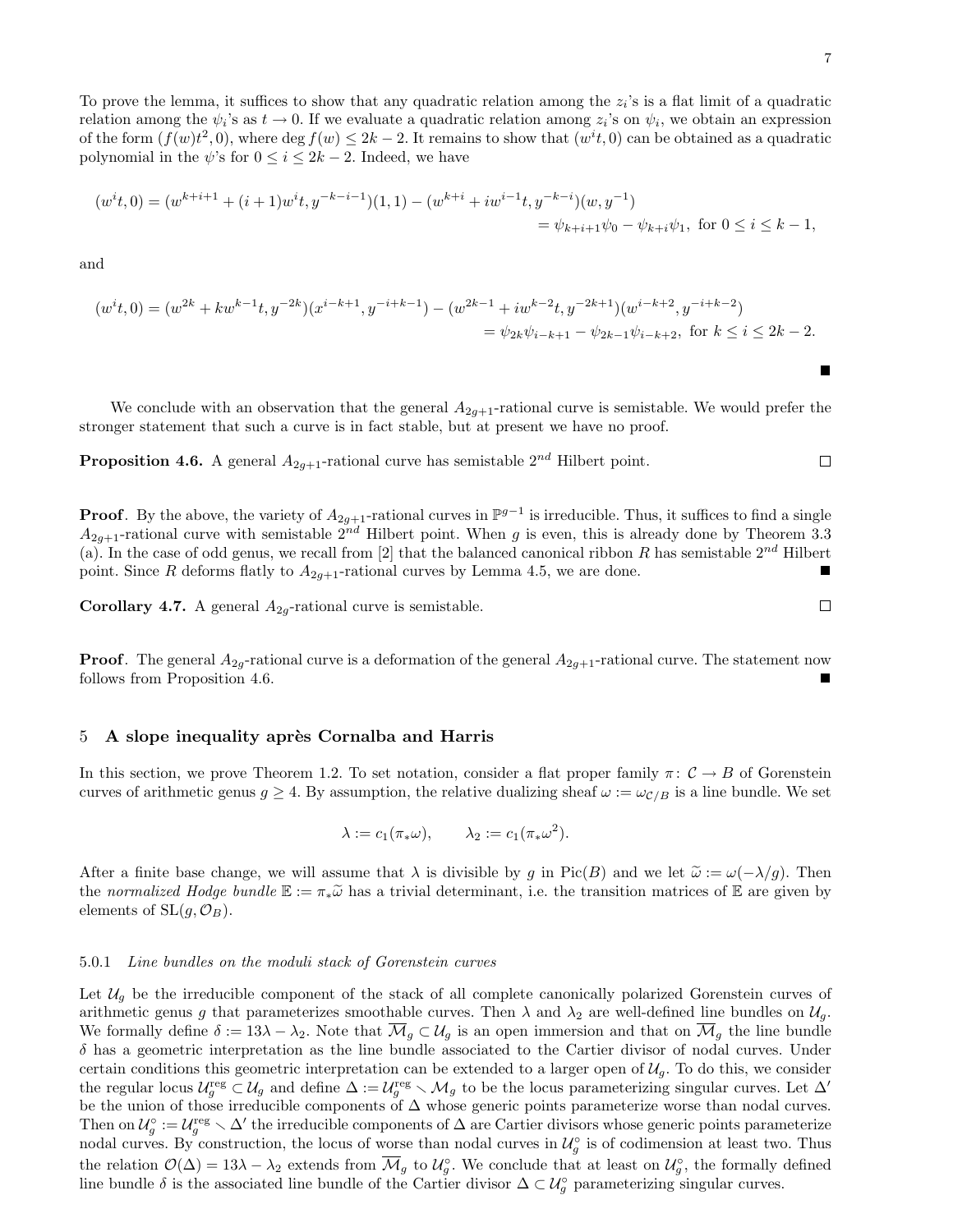To prove the lemma, it suffices to show that any quadratic relation among the  $z_i$ 's is a flat limit of a quadratic relation among the  $\psi_i$ 's as  $t \to 0$ . If we evaluate a quadratic relation among  $z_i$ 's on  $\psi_i$ , we obtain an expression of the form  $(f(w)t^2, 0)$ , where deg  $f(w) \leq 2k-2$ . It remains to show that  $(w^it, 0)$  can be obtained as a quadratic polynomial in the  $\psi$ 's for  $0 \leq i \leq 2k - 2$ . Indeed, we have

$$
(w^{i}t, 0) = (w^{k+i+1} + (i+1)w^{i}t, y^{-k-i-1})(1, 1) - (w^{k+i} + iw^{i-1}t, y^{-k-i})(w, y^{-1})
$$
  
=  $\psi_{k+i+1}\psi_{0} - \psi_{k+i}\psi_{1}$ , for  $0 \le i \le k - 1$ ,

and

$$
(w^{i}t, 0) = (w^{2k} + kw^{k-1}t, y^{-2k})(x^{i-k+1}, y^{-i+k-1}) - (w^{2k-1} + iw^{k-2}t, y^{-2k+1})(w^{i-k+2}, y^{-i+k-2})
$$
  

$$
= \psi_{2k}\psi_{i-k+1} - \psi_{2k-1}\psi_{i-k+2}, \text{ for } k \le i \le 2k-2.
$$

We conclude with an observation that the general  $A_{2q+1}$ -rational curve is semistable. We would prefer the stronger statement that such a curve is in fact stable, but at present we have no proof.

**Proposition 4.6.** A general  $A_{2g+1}$ -rational curve has semistable  $2^{nd}$  Hilbert point.

**Proof.** By the above, the variety of  $A_{2g+1}$ -rational curves in  $\mathbb{P}^{g-1}$  is irreducible. Thus, it suffices to find a single  $A_{2g+1}$ -rational curve with semistable  $2^{nd}$  Hilbert point. When g is even, this is already done by Theorem 3.3 (a). In the case of odd genus, we recall from [2] that the balanced canonical ribbon R has semistable  $2^{nd}$  Hilbert point. Since R deforms flatly to  $A_{2g+1}$ -rational curves by Lemma 4.5, we are done.

**Corollary 4.7.** A general  $A_{2g}$ -rational curve is semistable.

**Proof.** The general  $A_{2g}$ -rational curve is a deformation of the general  $A_{2g+1}$ -rational curve. The statement now follows from Proposition 4.6.

### 5 A slope inequality après Cornalba and Harris

In this section, we prove Theorem 1.2. To set notation, consider a flat proper family  $\pi: \mathcal{C} \to B$  of Gorenstein curves of arithmetic genus  $g \geq 4$ . By assumption, the relative dualizing sheaf  $\omega := \omega_{C/B}$  is a line bundle. We set

$$
\lambda := c_1(\pi_* \omega), \qquad \lambda_2 := c_1(\pi_* \omega^2).
$$

After a finite base change, we will assume that  $\lambda$  is divisible by g in Pic(B) and we let  $\tilde{\omega} := \omega(-\lambda/g)$ . Then the normalized Hodge bundle  $\mathbb{E} := \pi_* \widetilde{\omega}$  has a trivial determinant, i.e. the transition matrices of  $\mathbb{E}$  are given by elements of  $SL(q, \mathcal{O}_B)$ .

#### 5.0.1 Line bundles on the moduli stack of Gorenstein curves

Let  $U_q$  be the irreducible component of the stack of all complete canonically polarized Gorenstein curves of arithmetic genus g that parameterizes smoothable curves. Then  $\lambda$  and  $\lambda_2$  are well-defined line bundles on  $\mathcal{U}_q$ . We formally define  $\delta := 13\lambda - \lambda_2$ . Note that  $\overline{\mathcal{M}}_g \subset \mathcal{U}_g$  is an open immersion and that on  $\overline{\mathcal{M}}_g$  the line bundle  $\delta$  has a geometric interpretation as the line bundle associated to the Cartier divisor of nodal curves. Under certain conditions this geometric interpretation can be extended to a larger open of  $\mathcal{U}_g$ . To do this, we consider the regular locus  $\mathcal{U}_g^{\text{reg}} \subset \mathcal{U}_g$  and define  $\Delta := \mathcal{U}_g^{\text{reg}} \setminus \mathcal{M}_g$  to be the locus parameterizing singular curves. Let  $\Delta'$ be the union of those irreducible components of ∆ whose generic points parameterize worse than nodal curves. Then on  $\mathcal{U}_g^{\circ} := \mathcal{U}_g^{\text{reg}} \setminus \Delta'$  the irreducible components of  $\Delta$  are Cartier divisors whose generic points parameterize nodal curves. By construction, the locus of worse than nodal curves in  $\mathcal{U}_g^{\circ}$  is of codimension at least two. Thus the relation  $\mathcal{O}(\Delta) = 13\lambda - \lambda_2$  extends from  $\overline{\mathcal{M}}_g$  to  $\mathcal{U}_g^{\circ}$ . We conclude that at least on  $\mathcal{U}_g^{\circ}$ , the formally defined line bundle  $\delta$  is the associated line bundle of the Cartier divisor  $\Delta \subset \mathcal{U}^{\circ}_{g}$  parameterizing singular curves.

 $\Box$ 

 $\Box$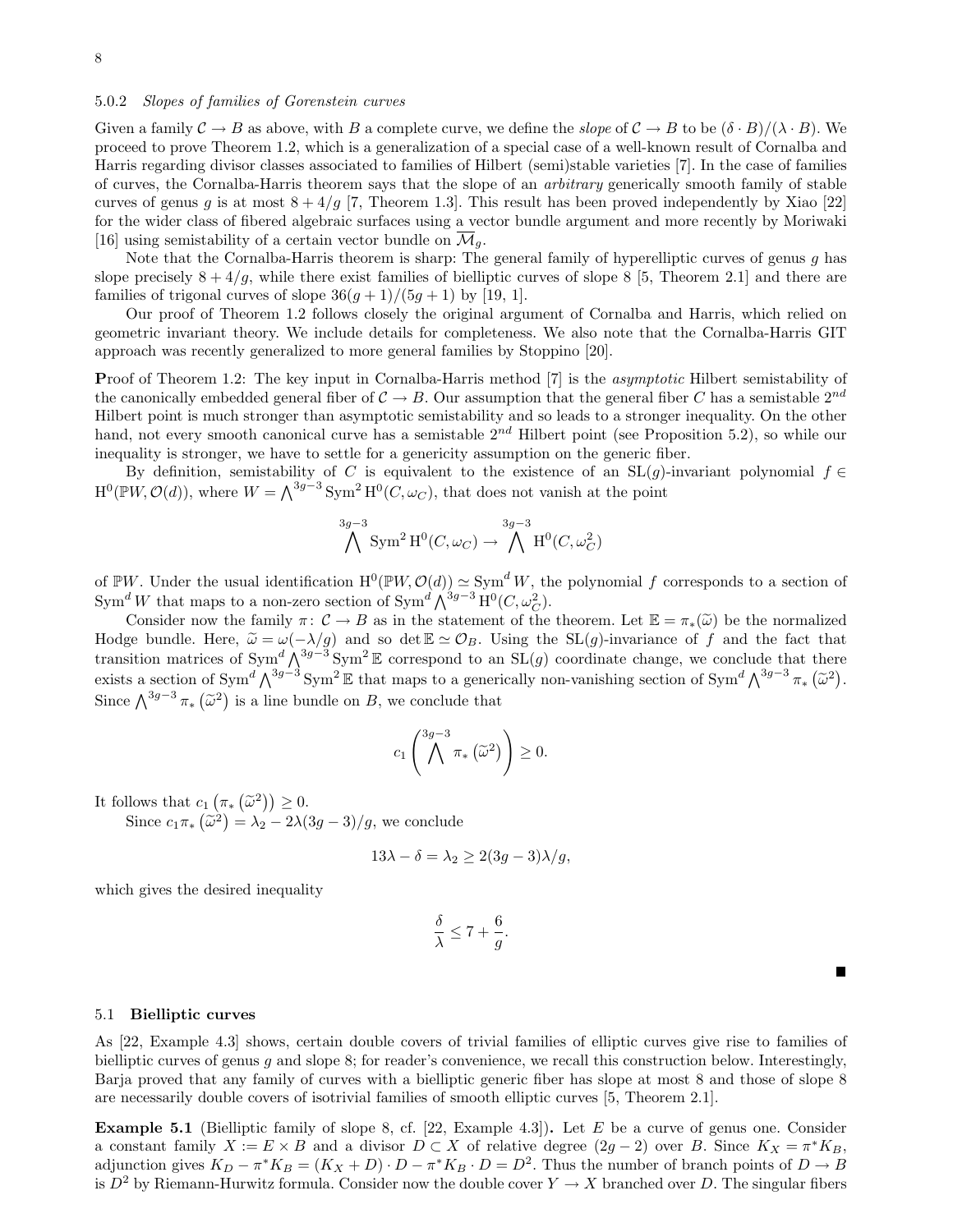### 5.0.2 Slopes of families of Gorenstein curves

Given a family  $\mathcal{C} \to B$  as above, with B a complete curve, we define the slope of  $\mathcal{C} \to B$  to be  $(\delta \cdot B)/(\lambda \cdot B)$ . We proceed to prove Theorem 1.2, which is a generalization of a special case of a well-known result of Cornalba and Harris regarding divisor classes associated to families of Hilbert (semi)stable varieties [7]. In the case of families of curves, the Cornalba-Harris theorem says that the slope of an arbitrary generically smooth family of stable curves of genus g is at most  $8 + 4/g$  [7, Theorem 1.3]. This result has been proved independently by Xiao [22] for the wider class of fibered algebraic surfaces using a vector bundle argument and more recently by Moriwaki [16] using semistability of a certain vector bundle on  $\overline{\mathcal{M}}_q$ .

Note that the Cornalba-Harris theorem is sharp: The general family of hyperelliptic curves of genus q has slope precisely  $8 + 4/g$ , while there exist families of bielliptic curves of slope 8 [5, Theorem 2.1] and there are families of trigonal curves of slope  $36(g+1)/(5g+1)$  by [19, 1].

Our proof of Theorem 1.2 follows closely the original argument of Cornalba and Harris, which relied on geometric invariant theory. We include details for completeness. We also note that the Cornalba-Harris GIT approach was recently generalized to more general families by Stoppino [20].

Proof of Theorem 1.2: The key input in Cornalba-Harris method [7] is the *asymptotic* Hilbert semistability of the canonically embedded general fiber of  $C \to B$ . Our assumption that the general fiber C has a semistable  $2^{nd}$ Hilbert point is much stronger than asymptotic semistability and so leads to a stronger inequality. On the other hand, not every smooth canonical curve has a semistable  $2^{nd}$  Hilbert point (see Proposition 5.2), so while our inequality is stronger, we have to settle for a genericity assumption on the generic fiber.

By definition, semistability of C is equivalent to the existence of an SL(q)-invariant polynomial  $f \in$  $H^0(\mathbb{P}W, \mathcal{O}(d))$ , where  $W = \bigwedge^{3g-3} \text{Sym}^2 H^0(C, \omega_C)$ , that does not vanish at the point

$$
\bigwedge^{3g-3} \text{Sym}^2 \text{H}^0(C, \omega_C) \to \bigwedge^{3g-3} \text{H}^0(C, \omega_C^2)
$$

of PW. Under the usual identification  $H^0(PW, \mathcal{O}(d)) \simeq \text{Sym}^d W$ , the polynomial f corresponds to a section of Sym<sup>d</sup> W that maps to a non-zero section of Sym<sup>d</sup>  $\bigwedge^{3g-3} H^0(C, \omega_C^2)$ .

Consider now the family  $\pi: \mathcal{C} \to B$  as in the statement of the theorem. Let  $\mathbb{E} = \pi_*(\widetilde{\omega})$  be the normalized Hodge bundle. Here,  $\tilde{\omega} = \omega(-\lambda/g)$  and so det  $\mathbb{E} \simeq \mathcal{O}_B$ . Using the SL(g)-invariance of f and the fact that transition matrices of Sym<sup>d</sup>  $\bigwedge^{3g-3}$  Sym<sup>2</sup> E correspond to an SL(g) coordinate change, we conclude that there exists a section of Sym<sup>d</sup>  $\bigwedge^{3g-3}$  Sym<sup>2</sup> E that maps to a generically non-vanishing section of Sym<sup>d</sup>  $\bigwedge^{3g-3} \pi_* \left( \tilde{\omega}^2 \right)$ . Since  $\bigwedge^{3g-3} \pi_* \left( \tilde{\omega}^2 \right)$  is a line bundle on B, we conclude that

$$
c_1\left(\bigwedge^{3g-3}\pi_*\left(\widetilde{\omega}^2\right)\right)\geq 0.
$$

It follows that  $c_1(\pi_*(\tilde{\omega}^2)) \geq 0$ .<br>Since  $\tilde{\omega} = (\tilde{\omega}^2)$ 

Since  $c_1 \pi_* (\tilde{\omega}^2) = \lambda_2 - 2\lambda (3g - 3)/g$ , we conclude

$$
13\lambda - \delta = \lambda_2 \ge 2(3g - 3)\lambda/g,
$$

which gives the desired inequality

$$
\frac{\delta}{\lambda} \le 7 + \frac{6}{g}.
$$

 $\blacksquare$ 

#### 5.1 Bielliptic curves

As [22, Example 4.3] shows, certain double covers of trivial families of elliptic curves give rise to families of bielliptic curves of genus g and slope 8; for reader's convenience, we recall this construction below. Interestingly, Barja proved that any family of curves with a bielliptic generic fiber has slope at most 8 and those of slope 8 are necessarily double covers of isotrivial families of smooth elliptic curves [5, Theorem 2.1].

**Example 5.1** (Bielliptic family of slope 8, cf.  $[22, Example 4.3]$ ). Let E be a curve of genus one. Consider a constant family  $X := E \times B$  and a divisor  $D \subset X$  of relative degree  $(2g - 2)$  over B. Since  $K_X = \pi^* K_B$ , adjunction gives  $K_D - \pi^* K_B = (K_X + D) \cdot D - \pi^* K_B \cdot D = D^2$ . Thus the number of branch points of  $D \to B$ is  $D^2$  by Riemann-Hurwitz formula. Consider now the double cover  $Y \to X$  branched over D. The singular fibers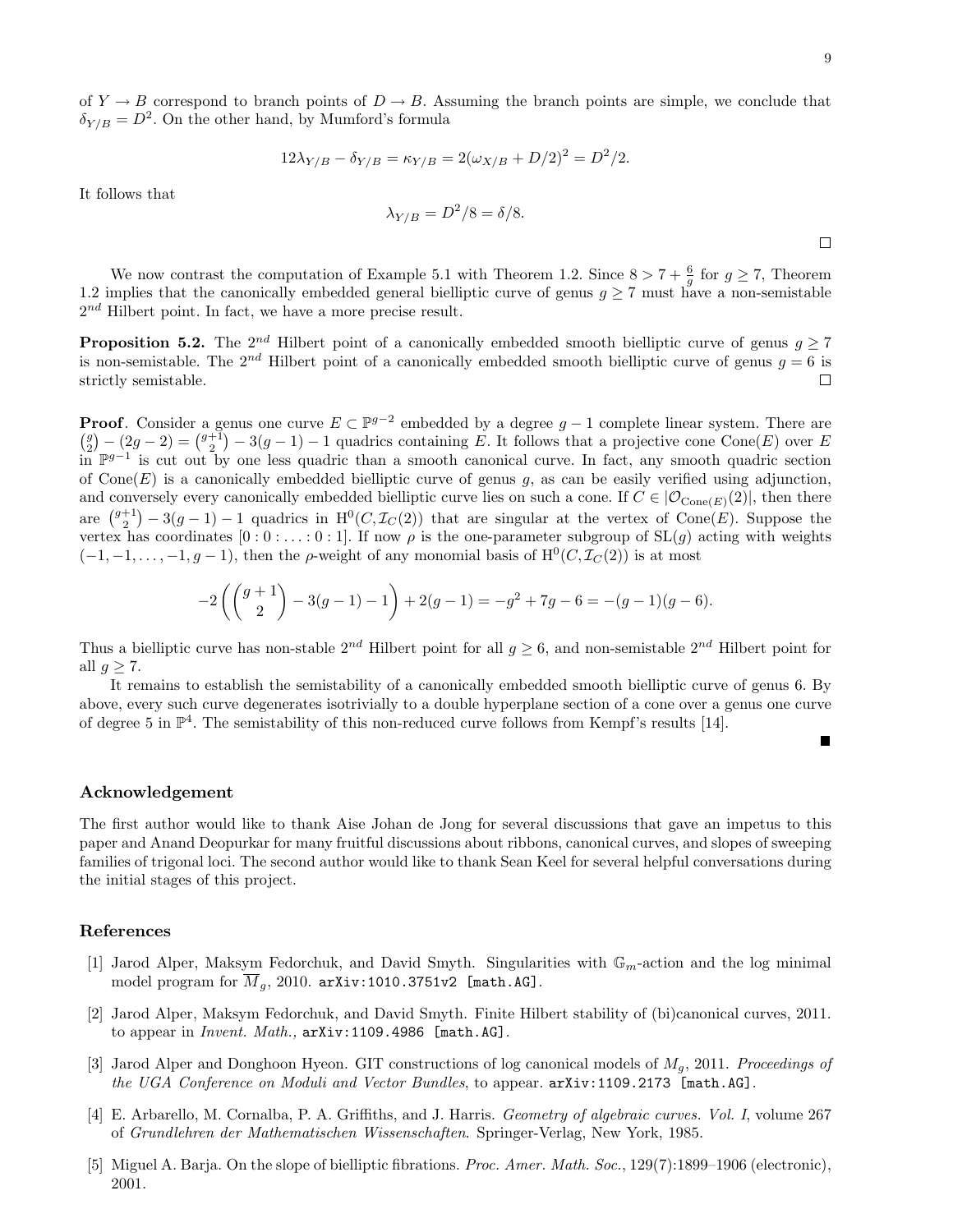Г

of  $Y \to B$  correspond to branch points of  $D \to B$ . Assuming the branch points are simple, we conclude that  $\delta_{Y/B} = D^2$ . On the other hand, by Mumford's formula

$$
12\lambda_{Y/B} - \delta_{Y/B} = \kappa_{Y/B} = 2(\omega_{X/B} + D/2)^2 = D^2/2.
$$

It follows that

$$
\lambda_{Y/B} = D^2/8 = \delta/8.
$$

We now contrast the computation of Example 5.1 with Theorem 1.2. Since  $8 > 7 + \frac{6}{g}$  for  $g \ge 7$ , Theorem 1.2 implies that the canonically embedded general bielliptic curve of genus  $q \geq 7$  must have a non-semistable  $2^{nd}$  Hilbert point. In fact, we have a more precise result.

**Proposition 5.2.** The 2<sup>nd</sup> Hilbert point of a canonically embedded smooth bielliptic curve of genus  $q \ge 7$ is non-semistable. The  $2^{nd}$  Hilbert point of a canonically embedded smooth bielliptic curve of genus  $q = 6$  is strictly semistable. П

**Proof.** Consider a genus one curve  $E \subset \mathbb{P}^{g-2}$  embedded by a degree  $g-1$  complete linear system. There are  $\binom{g}{2} - (2g - 2) = \binom{g+1}{2} - 3(g-1) - 1$  quadrics containing E. It follows that a projective cone Cone(E) over E in P<sup>g-1</sup> is cut out by one less quadric than a smooth canonical curve. In fact, any smooth quadric section of Cone(E) is a canonically embedded bielliptic curve of genus  $g$ , as can be easily verified using adjunction, and conversely every canonically embedded bielliptic curve lies on such a cone. If  $C \in |O_{\text{Cone}(E)}(2)|$ , then there are  $\binom{g+1}{2} - 3(g-1) - 1$  quadrics in  $H^0(C, \mathcal{I}_C(2))$  that are singular at the vertex of Cone(E). Suppose the vertex has coordinates  $[0:0:\ldots:0:1]$ . If now  $\rho$  is the one-parameter subgroup of  $SL(g)$  acting with weights  $(-1,-1,\ldots,-1,g-1)$ , then the  $\rho$ -weight of any monomial basis of  $\mathrm{H}^{0}(C, \mathcal{I}_{C}(2))$  is at most

$$
-2\left(\binom{g+1}{2}-3(g-1)-1\right)+2(g-1)=-g^2+7g-6=-(g-1)(g-6).
$$

Thus a bielliptic curve has non-stable  $2^{nd}$  Hilbert point for all  $g \ge 6$ , and non-semistable  $2^{nd}$  Hilbert point for all  $g \geq 7$ .

It remains to establish the semistability of a canonically embedded smooth bielliptic curve of genus 6. By above, every such curve degenerates isotrivially to a double hyperplane section of a cone over a genus one curve of degree 5 in  $\mathbb{P}^4$ . The semistability of this non-reduced curve follows from Kempf's results [14].

#### Acknowledgement

The first author would like to thank Aise Johan de Jong for several discussions that gave an impetus to this paper and Anand Deopurkar for many fruitful discussions about ribbons, canonical curves, and slopes of sweeping families of trigonal loci. The second author would like to thank Sean Keel for several helpful conversations during the initial stages of this project.

#### References

- [1] Jarod Alper, Maksym Fedorchuk, and David Smyth. Singularities with  $\mathbb{G}_m$ -action and the log minimal model program for  $\overline{M}_g$ , 2010. arXiv:1010.3751v2 [math.AG].
- [2] Jarod Alper, Maksym Fedorchuk, and David Smyth. Finite Hilbert stability of (bi)canonical curves, 2011. to appear in *Invent. Math.*, arXiv:1109.4986 [math.AG].
- [3] Jarod Alper and Donghoon Hyeon. GIT constructions of log canonical models of  $M_g$ , 2011. Proceedings of the UGA Conference on Moduli and Vector Bundles, to appear. arXiv:1109.2173 [math.AG].
- [4] E. Arbarello, M. Cornalba, P. A. Griffiths, and J. Harris. Geometry of algebraic curves. Vol. I, volume 267 of Grundlehren der Mathematischen Wissenschaften. Springer-Verlag, New York, 1985.
- [5] Miguel A. Barja. On the slope of bielliptic fibrations. Proc. Amer. Math. Soc., 129(7):1899–1906 (electronic), 2001.